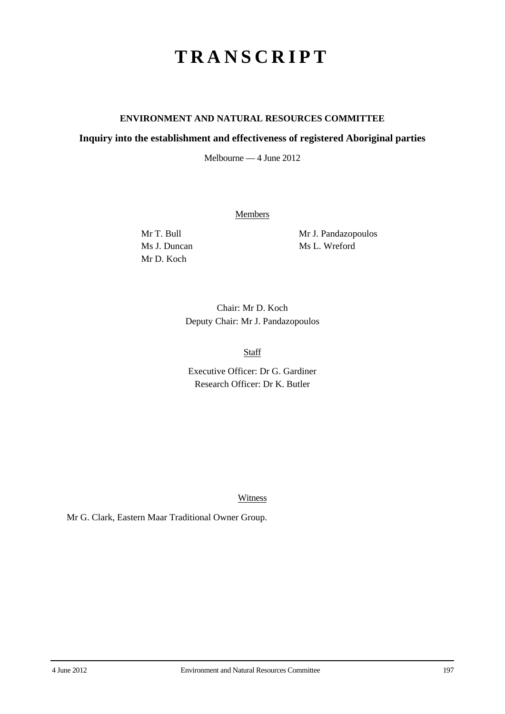## **TRANSCRIPT**

## **ENVIRONMENT AND NATURAL RESOURCES COMMITTEE**

## **Inquiry into the establishment and effectiveness of registered Aboriginal parties**

Melbourne — 4 June 2012

**Members** 

Mr D. Koch

Mr T. Bull Mr J. Pandazopoulos Ms J. Duncan Ms L. Wreford

> Chair: Mr D. Koch Deputy Chair: Mr J. Pandazopoulos

> > **Staff**

Executive Officer: Dr G. Gardiner Research Officer: Dr K. Butler

Witness

Mr G. Clark, Eastern Maar Traditional Owner Group.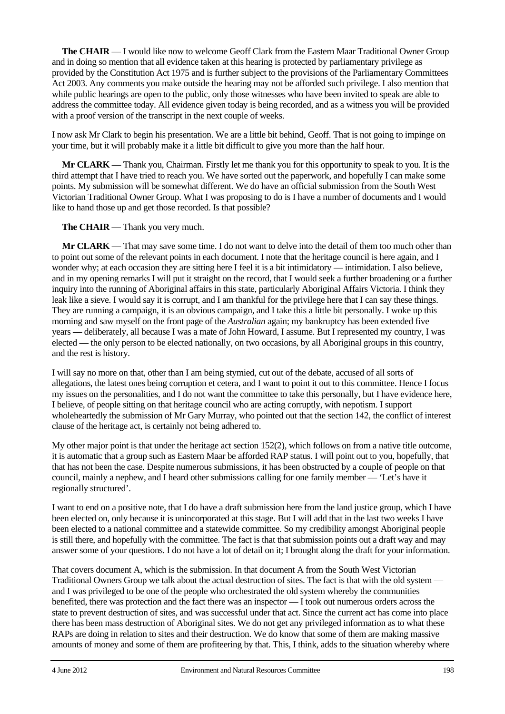**The CHAIR** — I would like now to welcome Geoff Clark from the Eastern Maar Traditional Owner Group and in doing so mention that all evidence taken at this hearing is protected by parliamentary privilege as provided by the Constitution Act 1975 and is further subject to the provisions of the Parliamentary Committees Act 2003. Any comments you make outside the hearing may not be afforded such privilege. I also mention that while public hearings are open to the public, only those witnesses who have been invited to speak are able to address the committee today. All evidence given today is being recorded, and as a witness you will be provided with a proof version of the transcript in the next couple of weeks.

I now ask Mr Clark to begin his presentation. We are a little bit behind, Geoff. That is not going to impinge on your time, but it will probably make it a little bit difficult to give you more than the half hour.

**Mr CLARK** — Thank you, Chairman. Firstly let me thank you for this opportunity to speak to you. It is the third attempt that I have tried to reach you. We have sorted out the paperwork, and hopefully I can make some points. My submission will be somewhat different. We do have an official submission from the South West Victorian Traditional Owner Group. What I was proposing to do is I have a number of documents and I would like to hand those up and get those recorded. Is that possible?

**The CHAIR** — Thank you very much.

**Mr CLARK** — That may save some time. I do not want to delve into the detail of them too much other than to point out some of the relevant points in each document. I note that the heritage council is here again, and I wonder why; at each occasion they are sitting here I feel it is a bit intimidatory — intimidation. I also believe, and in my opening remarks I will put it straight on the record, that I would seek a further broadening or a further inquiry into the running of Aboriginal affairs in this state, particularly Aboriginal Affairs Victoria. I think they leak like a sieve. I would say it is corrupt, and I am thankful for the privilege here that I can say these things. They are running a campaign, it is an obvious campaign, and I take this a little bit personally. I woke up this morning and saw myself on the front page of the *Australian* again; my bankruptcy has been extended five years — deliberately, all because I was a mate of John Howard, I assume. But I represented my country, I was elected — the only person to be elected nationally, on two occasions, by all Aboriginal groups in this country, and the rest is history.

I will say no more on that, other than I am being stymied, cut out of the debate, accused of all sorts of allegations, the latest ones being corruption et cetera, and I want to point it out to this committee. Hence I focus my issues on the personalities, and I do not want the committee to take this personally, but I have evidence here, I believe, of people sitting on that heritage council who are acting corruptly, with nepotism. I support wholeheartedly the submission of Mr Gary Murray, who pointed out that the section 142, the conflict of interest clause of the heritage act, is certainly not being adhered to.

My other major point is that under the heritage act section 152(2), which follows on from a native title outcome, it is automatic that a group such as Eastern Maar be afforded RAP status. I will point out to you, hopefully, that that has not been the case. Despite numerous submissions, it has been obstructed by a couple of people on that council, mainly a nephew, and I heard other submissions calling for one family member — 'Let's have it regionally structured'.

I want to end on a positive note, that I do have a draft submission here from the land justice group, which I have been elected on, only because it is unincorporated at this stage. But I will add that in the last two weeks I have been elected to a national committee and a statewide committee. So my credibility amongst Aboriginal people is still there, and hopefully with the committee. The fact is that that submission points out a draft way and may answer some of your questions. I do not have a lot of detail on it; I brought along the draft for your information.

That covers document A, which is the submission. In that document A from the South West Victorian Traditional Owners Group we talk about the actual destruction of sites. The fact is that with the old system and I was privileged to be one of the people who orchestrated the old system whereby the communities benefited, there was protection and the fact there was an inspector — I took out numerous orders across the state to prevent destruction of sites, and was successful under that act. Since the current act has come into place there has been mass destruction of Aboriginal sites. We do not get any privileged information as to what these RAPs are doing in relation to sites and their destruction. We do know that some of them are making massive amounts of money and some of them are profiteering by that. This, I think, adds to the situation whereby where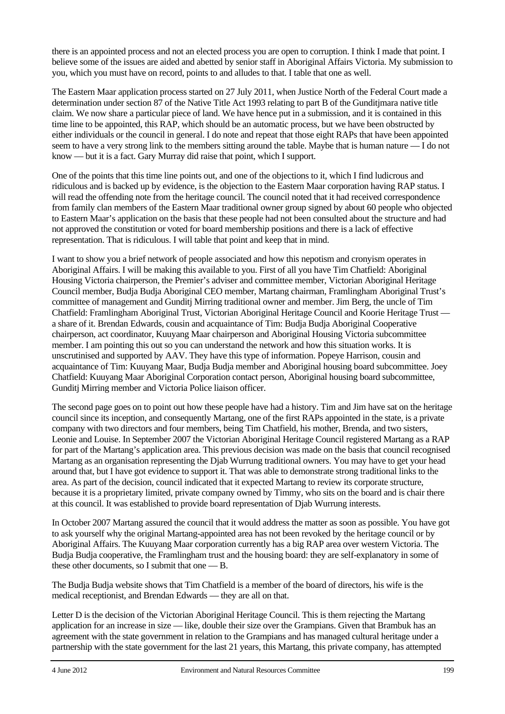there is an appointed process and not an elected process you are open to corruption. I think I made that point. I believe some of the issues are aided and abetted by senior staff in Aboriginal Affairs Victoria. My submission to you, which you must have on record, points to and alludes to that. I table that one as well.

The Eastern Maar application process started on 27 July 2011, when Justice North of the Federal Court made a determination under section 87 of the Native Title Act 1993 relating to part B of the Gunditjmara native title claim. We now share a particular piece of land. We have hence put in a submission, and it is contained in this time line to be appointed, this RAP, which should be an automatic process, but we have been obstructed by either individuals or the council in general. I do note and repeat that those eight RAPs that have been appointed seem to have a very strong link to the members sitting around the table. Maybe that is human nature — I do not know — but it is a fact. Gary Murray did raise that point, which I support.

One of the points that this time line points out, and one of the objections to it, which I find ludicrous and ridiculous and is backed up by evidence, is the objection to the Eastern Maar corporation having RAP status. I will read the offending note from the heritage council. The council noted that it had received correspondence from family clan members of the Eastern Maar traditional owner group signed by about 60 people who objected to Eastern Maar's application on the basis that these people had not been consulted about the structure and had not approved the constitution or voted for board membership positions and there is a lack of effective representation. That is ridiculous. I will table that point and keep that in mind.

I want to show you a brief network of people associated and how this nepotism and cronyism operates in Aboriginal Affairs. I will be making this available to you. First of all you have Tim Chatfield: Aboriginal Housing Victoria chairperson, the Premier's adviser and committee member, Victorian Aboriginal Heritage Council member, Budja Budja Aboriginal CEO member, Martang chairman, Framlingham Aboriginal Trust's committee of management and Gunditj Mirring traditional owner and member. Jim Berg, the uncle of Tim Chatfield: Framlingham Aboriginal Trust, Victorian Aboriginal Heritage Council and Koorie Heritage Trust a share of it. Brendan Edwards, cousin and acquaintance of Tim: Budja Budja Aboriginal Cooperative chairperson, act coordinator, Kuuyang Maar chairperson and Aboriginal Housing Victoria subcommittee member. I am pointing this out so you can understand the network and how this situation works. It is unscrutinised and supported by AAV. They have this type of information. Popeye Harrison, cousin and acquaintance of Tim: Kuuyang Maar, Budja Budja member and Aboriginal housing board subcommittee. Joey Chatfield: Kuuyang Maar Aboriginal Corporation contact person, Aboriginal housing board subcommittee, Gunditj Mirring member and Victoria Police liaison officer.

The second page goes on to point out how these people have had a history. Tim and Jim have sat on the heritage council since its inception, and consequently Martang, one of the first RAPs appointed in the state, is a private company with two directors and four members, being Tim Chatfield, his mother, Brenda, and two sisters, Leonie and Louise. In September 2007 the Victorian Aboriginal Heritage Council registered Martang as a RAP for part of the Martang's application area. This previous decision was made on the basis that council recognised Martang as an organisation representing the Djab Wurrung traditional owners. You may have to get your head around that, but I have got evidence to support it. That was able to demonstrate strong traditional links to the area. As part of the decision, council indicated that it expected Martang to review its corporate structure, because it is a proprietary limited, private company owned by Timmy, who sits on the board and is chair there at this council. It was established to provide board representation of Djab Wurrung interests.

In October 2007 Martang assured the council that it would address the matter as soon as possible. You have got to ask yourself why the original Martang-appointed area has not been revoked by the heritage council or by Aboriginal Affairs. The Kuuyang Maar corporation currently has a big RAP area over western Victoria. The Budja Budja cooperative, the Framlingham trust and the housing board: they are self-explanatory in some of these other documents, so I submit that one — B.

The Budja Budja website shows that Tim Chatfield is a member of the board of directors, his wife is the medical receptionist, and Brendan Edwards — they are all on that.

Letter D is the decision of the Victorian Aboriginal Heritage Council. This is them rejecting the Martang application for an increase in size — like, double their size over the Grampians. Given that Brambuk has an agreement with the state government in relation to the Grampians and has managed cultural heritage under a partnership with the state government for the last 21 years, this Martang, this private company, has attempted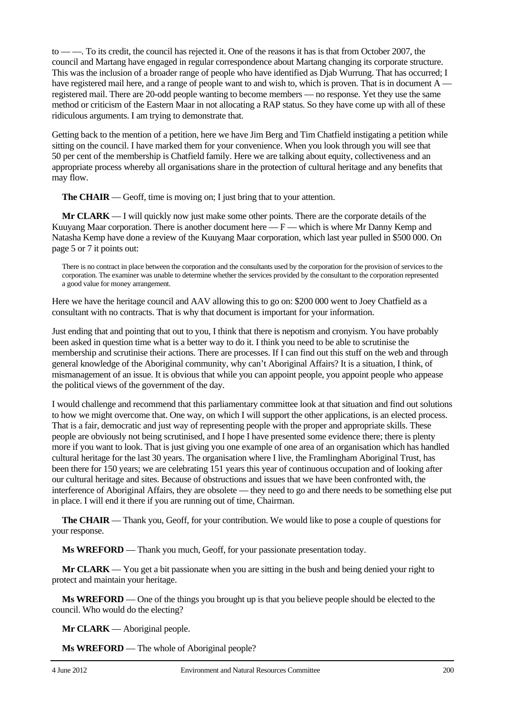to — —. To its credit, the council has rejected it. One of the reasons it has is that from October 2007, the council and Martang have engaged in regular correspondence about Martang changing its corporate structure. This was the inclusion of a broader range of people who have identified as Djab Wurrung. That has occurred; I have registered mail here, and a range of people want to and wish to, which is proven. That is in document A registered mail. There are 20-odd people wanting to become members — no response. Yet they use the same method or criticism of the Eastern Maar in not allocating a RAP status. So they have come up with all of these ridiculous arguments. I am trying to demonstrate that.

Getting back to the mention of a petition, here we have Jim Berg and Tim Chatfield instigating a petition while sitting on the council. I have marked them for your convenience. When you look through you will see that 50 per cent of the membership is Chatfield family. Here we are talking about equity, collectiveness and an appropriate process whereby all organisations share in the protection of cultural heritage and any benefits that may flow.

**The CHAIR** — Geoff, time is moving on; I just bring that to your attention.

**Mr CLARK** — I will quickly now just make some other points. There are the corporate details of the Kuuyang Maar corporation. There is another document here  $-F$  — which is where Mr Danny Kemp and Natasha Kemp have done a review of the Kuuyang Maar corporation, which last year pulled in \$500 000. On page 5 or 7 it points out:

There is no contract in place between the corporation and the consultants used by the corporation for the provision of services to the corporation. The examiner was unable to determine whether the services provided by the consultant to the corporation represented a good value for money arrangement.

Here we have the heritage council and AAV allowing this to go on: \$200 000 went to Joey Chatfield as a consultant with no contracts. That is why that document is important for your information.

Just ending that and pointing that out to you, I think that there is nepotism and cronyism. You have probably been asked in question time what is a better way to do it. I think you need to be able to scrutinise the membership and scrutinise their actions. There are processes. If I can find out this stuff on the web and through general knowledge of the Aboriginal community, why can't Aboriginal Affairs? It is a situation, I think, of mismanagement of an issue. It is obvious that while you can appoint people, you appoint people who appease the political views of the government of the day.

I would challenge and recommend that this parliamentary committee look at that situation and find out solutions to how we might overcome that. One way, on which I will support the other applications, is an elected process. That is a fair, democratic and just way of representing people with the proper and appropriate skills. These people are obviously not being scrutinised, and I hope I have presented some evidence there; there is plenty more if you want to look. That is just giving you one example of one area of an organisation which has handled cultural heritage for the last 30 years. The organisation where I live, the Framlingham Aboriginal Trust, has been there for 150 years; we are celebrating 151 years this year of continuous occupation and of looking after our cultural heritage and sites. Because of obstructions and issues that we have been confronted with, the interference of Aboriginal Affairs, they are obsolete — they need to go and there needs to be something else put in place. I will end it there if you are running out of time, Chairman.

**The CHAIR** — Thank you, Geoff, for your contribution. We would like to pose a couple of questions for your response.

**Ms WREFORD** — Thank you much, Geoff, for your passionate presentation today.

**Mr CLARK** — You get a bit passionate when you are sitting in the bush and being denied your right to protect and maintain your heritage.

**Ms WREFORD** — One of the things you brought up is that you believe people should be elected to the council. Who would do the electing?

**Mr CLARK** — Aboriginal people.

**Ms WREFORD** — The whole of Aboriginal people?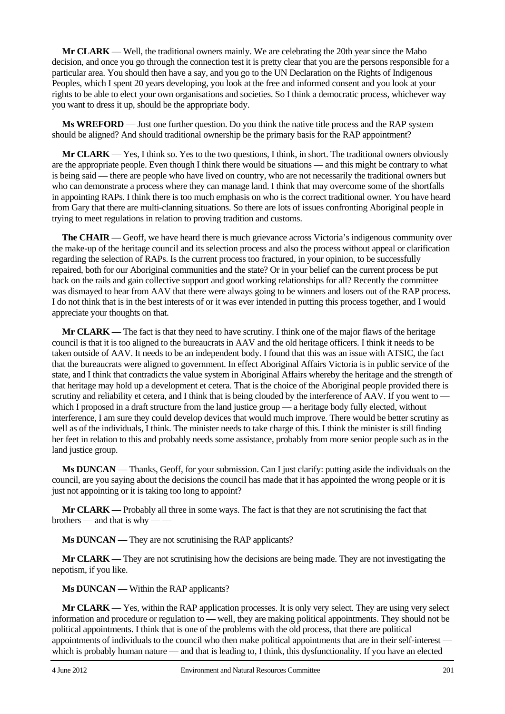**Mr CLARK** — Well, the traditional owners mainly. We are celebrating the 20th year since the Mabo decision, and once you go through the connection test it is pretty clear that you are the persons responsible for a particular area. You should then have a say, and you go to the UN Declaration on the Rights of Indigenous Peoples, which I spent 20 years developing, you look at the free and informed consent and you look at your rights to be able to elect your own organisations and societies. So I think a democratic process, whichever way you want to dress it up, should be the appropriate body.

**Ms WREFORD** — Just one further question. Do you think the native title process and the RAP system should be aligned? And should traditional ownership be the primary basis for the RAP appointment?

**Mr CLARK** — Yes, I think so. Yes to the two questions, I think, in short. The traditional owners obviously are the appropriate people. Even though I think there would be situations — and this might be contrary to what is being said — there are people who have lived on country, who are not necessarily the traditional owners but who can demonstrate a process where they can manage land. I think that may overcome some of the shortfalls in appointing RAPs. I think there is too much emphasis on who is the correct traditional owner. You have heard from Gary that there are multi-clanning situations. So there are lots of issues confronting Aboriginal people in trying to meet regulations in relation to proving tradition and customs.

**The CHAIR** — Geoff, we have heard there is much grievance across Victoria's indigenous community over the make-up of the heritage council and its selection process and also the process without appeal or clarification regarding the selection of RAPs. Is the current process too fractured, in your opinion, to be successfully repaired, both for our Aboriginal communities and the state? Or in your belief can the current process be put back on the rails and gain collective support and good working relationships for all? Recently the committee was dismayed to hear from AAV that there were always going to be winners and losers out of the RAP process. I do not think that is in the best interests of or it was ever intended in putting this process together, and I would appreciate your thoughts on that.

**Mr CLARK** — The fact is that they need to have scrutiny. I think one of the major flaws of the heritage council is that it is too aligned to the bureaucrats in AAV and the old heritage officers. I think it needs to be taken outside of AAV. It needs to be an independent body. I found that this was an issue with ATSIC, the fact that the bureaucrats were aligned to government. In effect Aboriginal Affairs Victoria is in public service of the state, and I think that contradicts the value system in Aboriginal Affairs whereby the heritage and the strength of that heritage may hold up a development et cetera. That is the choice of the Aboriginal people provided there is scrutiny and reliability et cetera, and I think that is being clouded by the interference of AAV. If you went to which I proposed in a draft structure from the land justice group — a heritage body fully elected, without interference, I am sure they could develop devices that would much improve. There would be better scrutiny as well as of the individuals, I think. The minister needs to take charge of this. I think the minister is still finding her feet in relation to this and probably needs some assistance, probably from more senior people such as in the land justice group.

**Ms DUNCAN** — Thanks, Geoff, for your submission. Can I just clarify: putting aside the individuals on the council, are you saying about the decisions the council has made that it has appointed the wrong people or it is just not appointing or it is taking too long to appoint?

**Mr CLARK** — Probably all three in some ways. The fact is that they are not scrutinising the fact that brothers — and that is why — —

**Ms DUNCAN** — They are not scrutinising the RAP applicants?

**Mr CLARK** — They are not scrutinising how the decisions are being made. They are not investigating the nepotism, if you like.

**Ms DUNCAN** — Within the RAP applicants?

**Mr CLARK** — Yes, within the RAP application processes. It is only very select. They are using very select information and procedure or regulation to — well, they are making political appointments. They should not be political appointments. I think that is one of the problems with the old process, that there are political appointments of individuals to the council who then make political appointments that are in their self-interest which is probably human nature — and that is leading to, I think, this dysfunctionality. If you have an elected